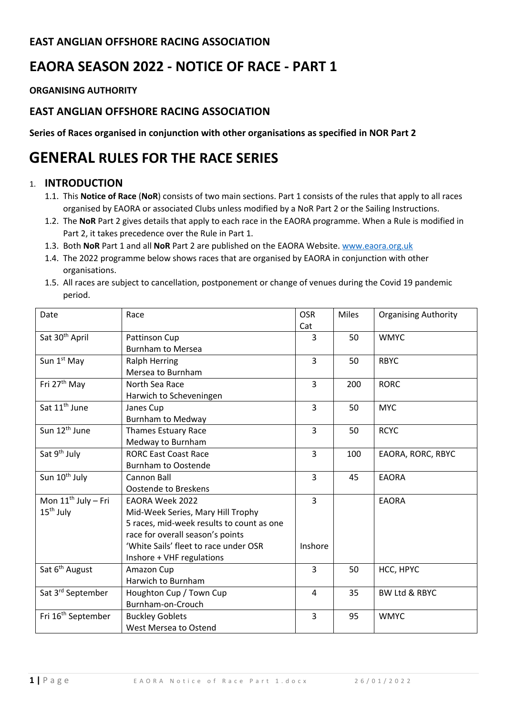# **EAST ANGLIAN OFFSHORE RACING ASSOCIATION**

# **EAORA SEASON 2022 - NOTICE OF RACE - PART 1**

**ORGANISING AUTHORITY** 

## **EAST ANGLIAN OFFSHORE RACING ASSOCIATION**

**Series of Races organised in conjunction with other organisations as specified in NOR Part 2**

# **GENERAL RULES FOR THE RACE SERIES**

#### 1. **INTRODUCTION**

- 1.1. This **Notice of Race** (**NoR**) consists of two main sections. Part 1 consists of the rules that apply to all races organised by EAORA or associated Clubs unless modified by a NoR Part 2 or the Sailing Instructions.
- 1.2. The **NoR** Part 2 gives details that apply to each race in the EAORA programme. When a Rule is modified in Part 2, it takes precedence over the Rule in Part 1.
- 1.3. Both **NoR** Part 1 and all **NoR** Part 2 are published on the EAORA Website. www.eaora.org.uk
- 1.4. The 2022 programme below shows races that are organised by EAORA in conjunction with other organisations.
- 1.5. All races are subject to cancellation, postponement or change of venues during the Covid 19 pandemic period.

| Date                           | Race                                      | <b>OSR</b>     | <b>Miles</b> | <b>Organising Authority</b> |
|--------------------------------|-------------------------------------------|----------------|--------------|-----------------------------|
|                                |                                           | Cat            |              |                             |
| Sat 30 <sup>th</sup> April     | Pattinson Cup                             | 3              | 50           | <b>WMYC</b>                 |
|                                | <b>Burnham to Mersea</b>                  |                |              |                             |
| Sun 1 <sup>st</sup> May        | <b>Ralph Herring</b>                      | $\overline{3}$ | 50           | <b>RBYC</b>                 |
|                                | Mersea to Burnham                         |                |              |                             |
| Fri 27 <sup>th</sup> May       | North Sea Race                            | 3              | 200          | <b>RORC</b>                 |
|                                | Harwich to Scheveningen                   |                |              |                             |
| Sat 11 <sup>th</sup> June      | Janes Cup                                 | 3              | 50           | <b>MYC</b>                  |
|                                | <b>Burnham to Medway</b>                  |                |              |                             |
| Sun 12 <sup>th</sup> June      | <b>Thames Estuary Race</b>                | 3              | 50           | <b>RCYC</b>                 |
|                                | Medway to Burnham                         |                |              |                             |
| Sat 9 <sup>th</sup> July       | <b>RORC East Coast Race</b>               | 3              | 100          | EAORA, RORC, RBYC           |
|                                | <b>Burnham to Oostende</b>                |                |              |                             |
| Sun 10 <sup>th</sup> July      | Cannon Ball                               | 3              | 45           | <b>EAORA</b>                |
|                                | <b>Oostende to Breskens</b>               |                |              |                             |
| Mon $11^{th}$ July – Fri       | <b>EAORA Week 2022</b>                    | $\overline{3}$ |              | <b>EAORA</b>                |
| $15th$ July                    | Mid-Week Series, Mary Hill Trophy         |                |              |                             |
|                                | 5 races, mid-week results to count as one |                |              |                             |
|                                | race for overall season's points          |                |              |                             |
|                                | 'White Sails' fleet to race under OSR     | Inshore        |              |                             |
|                                | Inshore + VHF regulations                 |                |              |                             |
| Sat 6 <sup>th</sup> August     | Amazon Cup                                | 3              | 50           | HCC, HPYC                   |
|                                | Harwich to Burnham                        |                |              |                             |
| Sat 3rd September              | Houghton Cup / Town Cup                   | $\overline{4}$ | 35           | <b>BW Ltd &amp; RBYC</b>    |
|                                | Burnham-on-Crouch                         |                |              |                             |
| Fri 16 <sup>th</sup> September | <b>Buckley Goblets</b>                    | 3              | 95           | <b>WMYC</b>                 |
|                                | West Mersea to Ostend                     |                |              |                             |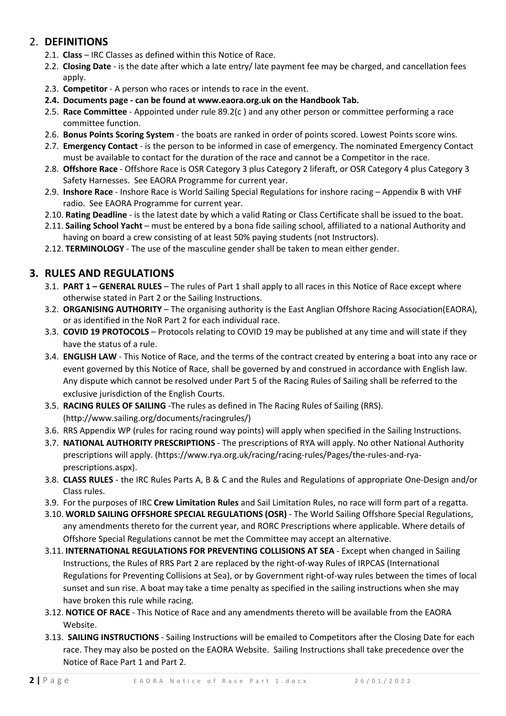## 2. **DEFINITIONS**

- 2.1. **Class** IRC Classes as defined within this Notice of Race.
- 2.2. **Closing Date** is the date after which a late entry/ late payment fee may be charged, and cancellation fees apply.
- 2.3. **Competitor** A person who races or intends to race in the event.
- **2.4. Documents page - can be found at www.eaora.org.uk on the Handbook Tab.**
- 2.5. **Race Committee** Appointed under rule 89.2(c ) and any other person or committee performing a race committee function.
- 2.6. **Bonus Points Scoring System** the boats are ranked in order of points scored. Lowest Points score wins.
- 2.7. **Emergency Contact** is the person to be informed in case of emergency. The nominated Emergency Contact must be available to contact for the duration of the race and cannot be a Competitor in the race.
- 2.8. **Offshore Race** Offshore Race is OSR Category 3 plus Category 2 liferaft, or OSR Category 4 plus Category 3 Safety Harnesses. See EAORA Programme for current year.
- 2.9. **Inshore Race** Inshore Race is World Sailing Special Regulations for inshore racing Appendix B with VHF radio. See EAORA Programme for current year.
- 2.10. **Rating Deadline** is the latest date by which a valid Rating or Class Certificate shall be issued to the boat.
- 2.11. **Sailing School Yacht** must be entered by a bona fide sailing school, affiliated to a national Authority and having on board a crew consisting of at least 50% paying students (not Instructors).
- 2.12. **TERMINOLOGY** The use of the masculine gender shall be taken to mean either gender.

# **3. RULES AND REGULATIONS**

- 3.1. **PART 1 – GENERAL RULES** The rules of Part 1 shall apply to all races in this Notice of Race except where otherwise stated in Part 2 or the Sailing Instructions.
- 3.2. **ORGANISING AUTHORITY**  The organising authority is the East Anglian Offshore Racing Association(EAORA), or as identified in the NoR Part 2 for each individual race.
- 3.3. **COVID 19 PROTOCOLS** Protocols relating to COVID 19 may be published at any time and will state if they have the status of a rule.
- 3.4. **ENGLISH LAW** This Notice of Race, and the terms of the contract created by entering a boat into any race or event governed by this Notice of Race, shall be governed by and construed in accordance with English law. Any dispute which cannot be resolved under Part 5 of the Racing Rules of Sailing shall be referred to the exclusive jurisdiction of the English Courts.
- 3.5. **RACING RULES OF SAILING** -The rules as defined in The Racing Rules of Sailing (RRS). (http://www.sailing.org/documents/racingrules/)
- 3.6. RRS Appendix WP (rules for racing round way points) will apply when specified in the Sailing Instructions.
- 3.7. **NATIONAL AUTHORITY PRESCRIPTIONS** The prescriptions of RYA will apply. No other National Authority prescriptions will apply. (https://www.rya.org.uk/racing/racing-rules/Pages/the-rules-and-ryaprescriptions.aspx).
- 3.8. **CLASS RULES** the IRC Rules Parts A, B & C and the Rules and Regulations of appropriate One-Design and/or Class rules.
- 3.9. For the purposes of IRC **Crew Limitation Rules** and Sail Limitation Rules, no race will form part of a regatta.
- 3.10. **WORLD SAILING OFFSHORE SPECIAL REGULATIONS (OSR)** The World Sailing Offshore Special Regulations, any amendments thereto for the current year, and RORC Prescriptions where applicable. Where details of Offshore Special Regulations cannot be met the Committee may accept an alternative.
- 3.11. **INTERNATIONAL REGULATIONS FOR PREVENTING COLLISIONS AT SEA** Except when changed in Sailing Instructions, the Rules of RRS Part 2 are replaced by the right-of-way Rules of IRPCAS (International Regulations for Preventing Collisions at Sea), or by Government right-of-way rules between the times of local sunset and sun rise. A boat may take a time penalty as specified in the sailing instructions when she may have broken this rule while racing.
- 3.12. **NOTICE OF RACE** This Notice of Race and any amendments thereto will be available from the EAORA Website.
- 3.13. **SAILING INSTRUCTIONS** Sailing Instructions will be emailed to Competitors after the Closing Date for each race. They may also be posted on the EAORA Website. Sailing Instructions shall take precedence over the Notice of Race Part 1 and Part 2.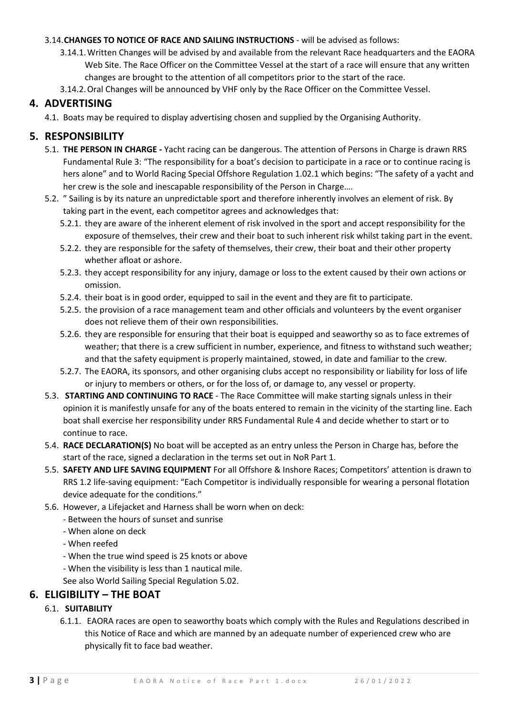#### 3.14.**CHANGES TO NOTICE OF RACE AND SAILING INSTRUCTIONS** - will be advised as follows:

- 3.14.1.Written Changes will be advised by and available from the relevant Race headquarters and the EAORA Web Site. The Race Officer on the Committee Vessel at the start of a race will ensure that any written changes are brought to the attention of all competitors prior to the start of the race.
- 3.14.2.Oral Changes will be announced by VHF only by the Race Officer on the Committee Vessel.

#### **4. ADVERTISING**

4.1. Boats may be required to display advertising chosen and supplied by the Organising Authority.

### **5. RESPONSIBILITY**

- 5.1. **THE PERSON IN CHARGE -** Yacht racing can be dangerous. The attention of Persons in Charge is drawn RRS Fundamental Rule 3: "The responsibility for a boat's decision to participate in a race or to continue racing is hers alone" and to World Racing Special Offshore Regulation 1.02.1 which begins: "The safety of a yacht and her crew is the sole and inescapable responsibility of the Person in Charge….
- 5.2. " Sailing is by its nature an unpredictable sport and therefore inherently involves an element of risk. By taking part in the event, each competitor agrees and acknowledges that:
	- 5.2.1. they are aware of the inherent element of risk involved in the sport and accept responsibility for the exposure of themselves, their crew and their boat to such inherent risk whilst taking part in the event.
	- 5.2.2. they are responsible for the safety of themselves, their crew, their boat and their other property whether afloat or ashore.
	- 5.2.3. they accept responsibility for any injury, damage or loss to the extent caused by their own actions or omission.
	- 5.2.4. their boat is in good order, equipped to sail in the event and they are fit to participate.
	- 5.2.5. the provision of a race management team and other officials and volunteers by the event organiser does not relieve them of their own responsibilities.
	- 5.2.6. they are responsible for ensuring that their boat is equipped and seaworthy so as to face extremes of weather; that there is a crew sufficient in number, experience, and fitness to withstand such weather; and that the safety equipment is properly maintained, stowed, in date and familiar to the crew.
	- 5.2.7. The EAORA, its sponsors, and other organising clubs accept no responsibility or liability for loss of life or injury to members or others, or for the loss of, or damage to, any vessel or property.
- 5.3. **STARTING AND CONTINUING TO RACE** The Race Committee will make starting signals unless in their opinion it is manifestly unsafe for any of the boats entered to remain in the vicinity of the starting line. Each boat shall exercise her responsibility under RRS Fundamental Rule 4 and decide whether to start or to continue to race.
- 5.4. **RACE DECLARATION(S)** No boat will be accepted as an entry unless the Person in Charge has, before the start of the race, signed a declaration in the terms set out in NoR Part 1.
- 5.5. **SAFETY AND LIFE SAVING EQUIPMENT** For all Offshore & Inshore Races; Competitors' attention is drawn to RRS 1.2 life-saving equipment: "Each Competitor is individually responsible for wearing a personal flotation device adequate for the conditions."
- 5.6. However, a Lifejacket and Harness shall be worn when on deck:
	- Between the hours of sunset and sunrise
	- When alone on deck
	- When reefed
	- When the true wind speed is 25 knots or above
	- When the visibility is less than 1 nautical mile.
	- See also World Sailing Special Regulation 5.02.

### **6. ELIGIBILITY – THE BOAT**

#### 6.1. **SUITABILITY**

6.1.1. EAORA races are open to seaworthy boats which comply with the Rules and Regulations described in this Notice of Race and which are manned by an adequate number of experienced crew who are physically fit to face bad weather.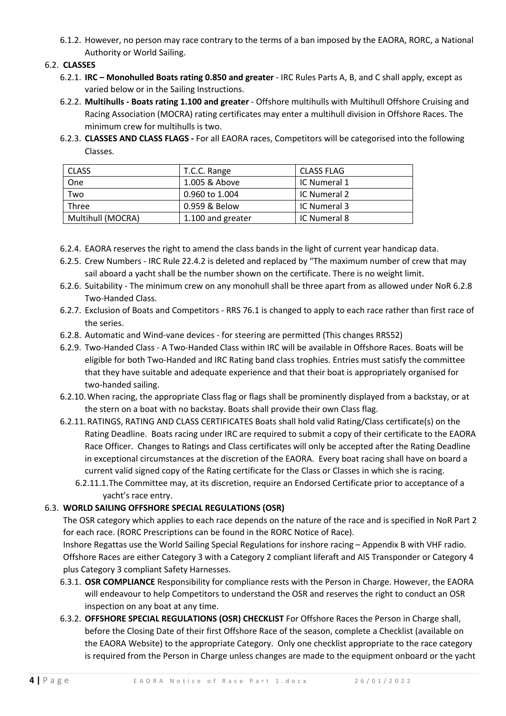6.1.2. However, no person may race contrary to the terms of a ban imposed by the EAORA, RORC, a National Authority or World Sailing.

#### 6.2. **CLASSES**

- 6.2.1. **IRC – Monohulled Boats rating 0.850 and greater** IRC Rules Parts A, B, and C shall apply, except as varied below or in the Sailing Instructions.
- 6.2.2. **Multihulls - Boats rating 1.100 and greater**  Offshore multihulls with Multihull Offshore Cruising and Racing Association (MOCRA) rating certificates may enter a multihull division in Offshore Races. The minimum crew for multihulls is two.
- 6.2.3. **CLASSES AND CLASS FLAGS -** For all EAORA races, Competitors will be categorised into the following Classes.

| l Class           | T.C.C. Range      | <b>CLASS FLAG</b> |
|-------------------|-------------------|-------------------|
| One               | 1.005 & Above     | IC Numeral 1      |
| Two               | 0.960 to 1.004    | IC Numeral 2      |
| Three             | 0.959 & Below     | IC Numeral 3      |
| Multihull (MOCRA) | 1.100 and greater | IC Numeral 8      |

- 6.2.4. EAORA reserves the right to amend the class bands in the light of current year handicap data.
- 6.2.5. Crew Numbers IRC Rule 22.4.2 is deleted and replaced by "The maximum number of crew that may sail aboard a yacht shall be the number shown on the certificate. There is no weight limit.
- 6.2.6. Suitability The minimum crew on any monohull shall be three apart from as allowed under NoR 6.2.8 Two-Handed Class.
- 6.2.7. Exclusion of Boats and Competitors RRS 76.1 is changed to apply to each race rather than first race of the series.
- 6.2.8. Automatic and Wind-vane devices for steering are permitted (This changes RRS52)
- 6.2.9. Two-Handed Class A Two-Handed Class within IRC will be available in Offshore Races. Boats will be eligible for both Two-Handed and IRC Rating band class trophies. Entries must satisfy the committee that they have suitable and adequate experience and that their boat is appropriately organised for two-handed sailing.
- 6.2.10.When racing, the appropriate Class flag or flags shall be prominently displayed from a backstay, or at the stern on a boat with no backstay. Boats shall provide their own Class flag.
- 6.2.11.RATINGS, RATING AND CLASS CERTIFICATES Boats shall hold valid Rating/Class certificate(s) on the Rating Deadline. Boats racing under IRC are required to submit a copy of their certificate to the EAORA Race Officer. Changes to Ratings and Class certificates will only be accepted after the Rating Deadline in exceptional circumstances at the discretion of the EAORA. Every boat racing shall have on board a current valid signed copy of the Rating certificate for the Class or Classes in which she is racing.
	- 6.2.11.1.The Committee may, at its discretion, require an Endorsed Certificate prior to acceptance of a yacht's race entry.

#### 6.3. **WORLD SAILING OFFSHORE SPECIAL REGULATIONS (OSR)**

The OSR category which applies to each race depends on the nature of the race and is specified in NoR Part 2 for each race. (RORC Prescriptions can be found in the RORC Notice of Race).

Inshore Regattas use the World Sailing Special Regulations for inshore racing – Appendix B with VHF radio. Offshore Races are either Category 3 with a Category 2 compliant liferaft and AIS Transponder or Category 4 plus Category 3 compliant Safety Harnesses.

- 6.3.1. **OSR COMPLIANCE** Responsibility for compliance rests with the Person in Charge. However, the EAORA will endeavour to help Competitors to understand the OSR and reserves the right to conduct an OSR inspection on any boat at any time.
- 6.3.2. **OFFSHORE SPECIAL REGULATIONS (OSR) CHECKLIST** For Offshore Races the Person in Charge shall, before the Closing Date of their first Offshore Race of the season, complete a Checklist (available on the EAORA Website) to the appropriate Category. Only one checklist appropriate to the race category is required from the Person in Charge unless changes are made to the equipment onboard or the yacht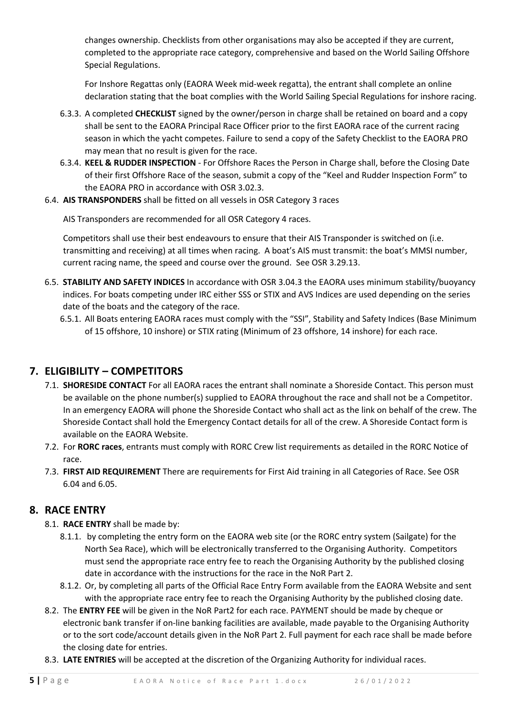changes ownership. Checklists from other organisations may also be accepted if they are current, completed to the appropriate race category, comprehensive and based on the World Sailing Offshore Special Regulations.

For Inshore Regattas only (EAORA Week mid-week regatta), the entrant shall complete an online declaration stating that the boat complies with the World Sailing Special Regulations for inshore racing.

- 6.3.3. A completed **CHECKLIST** signed by the owner/person in charge shall be retained on board and a copy shall be sent to the EAORA Principal Race Officer prior to the first EAORA race of the current racing season in which the yacht competes. Failure to send a copy of the Safety Checklist to the EAORA PRO may mean that no result is given for the race.
- 6.3.4. **KEEL & RUDDER INSPECTION** For Offshore Races the Person in Charge shall, before the Closing Date of their first Offshore Race of the season, submit a copy of the "Keel and Rudder Inspection Form" to the EAORA PRO in accordance with OSR 3.02.3.
- 6.4. **AIS TRANSPONDERS** shall be fitted on all vessels in OSR Category 3 races

AIS Transponders are recommended for all OSR Category 4 races.

Competitors shall use their best endeavours to ensure that their AIS Transponder is switched on (i.e. transmitting and receiving) at all times when racing. A boat's AIS must transmit: the boat's MMSI number, current racing name, the speed and course over the ground. See OSR 3.29.13.

- 6.5. **STABILITY AND SAFETY INDICES** In accordance with OSR 3.04.3 the EAORA uses minimum stability/buoyancy indices. For boats competing under IRC either SSS or STIX and AVS Indices are used depending on the series date of the boats and the category of the race.
	- 6.5.1. All Boats entering EAORA races must comply with the "SSI", Stability and Safety Indices (Base Minimum of 15 offshore, 10 inshore) or STIX rating (Minimum of 23 offshore, 14 inshore) for each race.

# **7. ELIGIBILITY – COMPETITORS**

- 7.1. **SHORESIDE CONTACT** For all EAORA races the entrant shall nominate a Shoreside Contact. This person must be available on the phone number(s) supplied to EAORA throughout the race and shall not be a Competitor. In an emergency EAORA will phone the Shoreside Contact who shall act as the link on behalf of the crew. The Shoreside Contact shall hold the Emergency Contact details for all of the crew. A Shoreside Contact form is available on the EAORA Website.
- 7.2. For **RORC races**, entrants must comply with RORC Crew list requirements as detailed in the RORC Notice of race.
- 7.3. **FIRST AID REQUIREMENT** There are requirements for First Aid training in all Categories of Race. See OSR 6.04 and 6.05.

# **8. RACE ENTRY**

- 8.1. **RACE ENTRY** shall be made by:
	- 8.1.1. by completing the entry form on the EAORA web site (or the RORC entry system (Sailgate) for the North Sea Race), which will be electronically transferred to the Organising Authority. Competitors must send the appropriate race entry fee to reach the Organising Authority by the published closing date in accordance with the instructions for the race in the NoR Part 2.
	- 8.1.2. Or, by completing all parts of the Official Race Entry Form available from the EAORA Website and sent with the appropriate race entry fee to reach the Organising Authority by the published closing date.
- 8.2. The **ENTRY FEE** will be given in the NoR Part2 for each race. PAYMENT should be made by cheque or electronic bank transfer if on-line banking facilities are available, made payable to the Organising Authority or to the sort code/account details given in the NoR Part 2. Full payment for each race shall be made before the closing date for entries.
- 8.3. **LATE ENTRIES** will be accepted at the discretion of the Organizing Authority for individual races.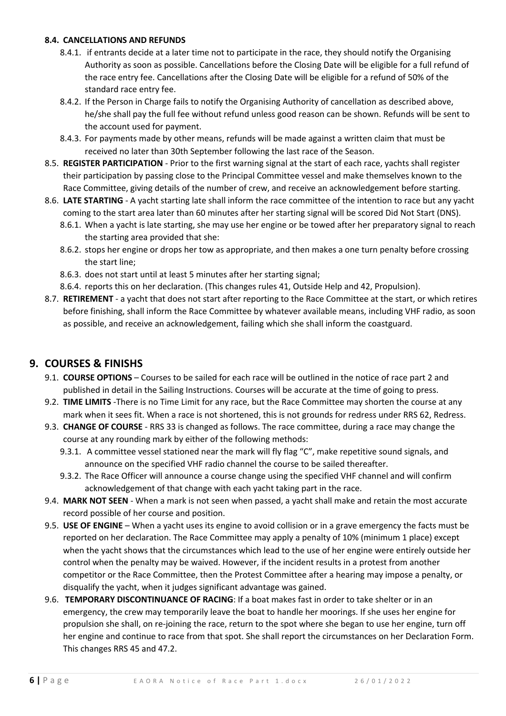#### **8.4. CANCELLATIONS AND REFUNDS**

- 8.4.1. if entrants decide at a later time not to participate in the race, they should notify the Organising Authority as soon as possible. Cancellations before the Closing Date will be eligible for a full refund of the race entry fee. Cancellations after the Closing Date will be eligible for a refund of 50% of the standard race entry fee.
- 8.4.2. If the Person in Charge fails to notify the Organising Authority of cancellation as described above, he/she shall pay the full fee without refund unless good reason can be shown. Refunds will be sent to the account used for payment.
- 8.4.3. For payments made by other means, refunds will be made against a written claim that must be received no later than 30th September following the last race of the Season.
- 8.5. **REGISTER PARTICIPATION** Prior to the first warning signal at the start of each race, yachts shall register their participation by passing close to the Principal Committee vessel and make themselves known to the Race Committee, giving details of the number of crew, and receive an acknowledgement before starting.
- 8.6. **LATE STARTING** A yacht starting late shall inform the race committee of the intention to race but any yacht coming to the start area later than 60 minutes after her starting signal will be scored Did Not Start (DNS).
	- 8.6.1. When a yacht is late starting, she may use her engine or be towed after her preparatory signal to reach the starting area provided that she:
	- 8.6.2. stops her engine or drops her tow as appropriate, and then makes a one turn penalty before crossing the start line;
	- 8.6.3. does not start until at least 5 minutes after her starting signal;
	- 8.6.4. reports this on her declaration. (This changes rules 41, Outside Help and 42, Propulsion).
- 8.7. **RETIREMENT** a yacht that does not start after reporting to the Race Committee at the start, or which retires before finishing, shall inform the Race Committee by whatever available means, including VHF radio, as soon as possible, and receive an acknowledgement, failing which she shall inform the coastguard.

#### **9. COURSES & FINISHS**

- 9.1. **COURSE OPTIONS** Courses to be sailed for each race will be outlined in the notice of race part 2 and published in detail in the Sailing Instructions. Courses will be accurate at the time of going to press.
- 9.2. **TIME LIMITS** -There is no Time Limit for any race, but the Race Committee may shorten the course at any mark when it sees fit. When a race is not shortened, this is not grounds for redress under RRS 62, Redress.
- 9.3. **CHANGE OF COURSE** RRS 33 is changed as follows. The race committee, during a race may change the course at any rounding mark by either of the following methods:
	- 9.3.1. A committee vessel stationed near the mark will fly flag "C", make repetitive sound signals, and announce on the specified VHF radio channel the course to be sailed thereafter.
	- 9.3.2. The Race Officer will announce a course change using the specified VHF channel and will confirm acknowledgement of that change with each yacht taking part in the race.
- 9.4. **MARK NOT SEEN** When a mark is not seen when passed, a yacht shall make and retain the most accurate record possible of her course and position.
- 9.5. **USE OF ENGINE** When a yacht uses its engine to avoid collision or in a grave emergency the facts must be reported on her declaration. The Race Committee may apply a penalty of 10% (minimum 1 place) except when the yacht shows that the circumstances which lead to the use of her engine were entirely outside her control when the penalty may be waived. However, if the incident results in a protest from another competitor or the Race Committee, then the Protest Committee after a hearing may impose a penalty, or disqualify the yacht, when it judges significant advantage was gained.
- 9.6. **TEMPORARY DISCONTINUANCE OF RACING**: If a boat makes fast in order to take shelter or in an emergency, the crew may temporarily leave the boat to handle her moorings. If she uses her engine for propulsion she shall, on re-joining the race, return to the spot where she began to use her engine, turn off her engine and continue to race from that spot. She shall report the circumstances on her Declaration Form. This changes RRS 45 and 47.2.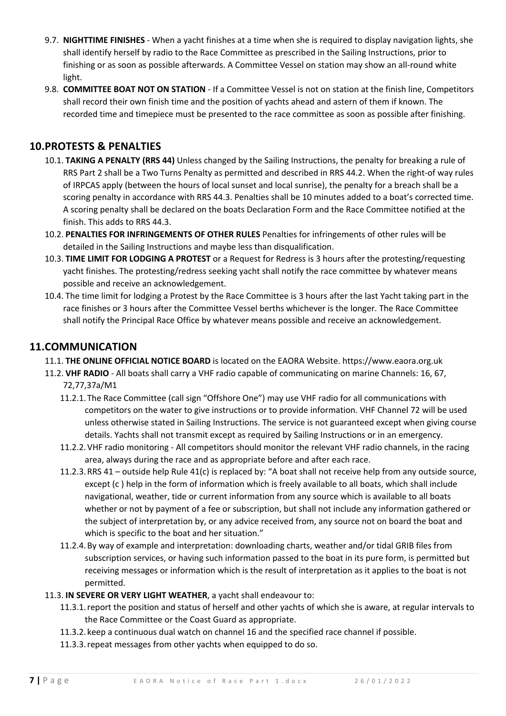- 9.7. **NIGHTTIME FINISHES** When a yacht finishes at a time when she is required to display navigation lights, she shall identify herself by radio to the Race Committee as prescribed in the Sailing Instructions, prior to finishing or as soon as possible afterwards. A Committee Vessel on station may show an all-round white light.
- 9.8. **COMMITTEE BOAT NOT ON STATION**  If a Committee Vessel is not on station at the finish line, Competitors shall record their own finish time and the position of yachts ahead and astern of them if known. The recorded time and timepiece must be presented to the race committee as soon as possible after finishing.

## **10.PROTESTS & PENALTIES**

- 10.1. **TAKING A PENALTY (RRS 44)** Unless changed by the Sailing Instructions, the penalty for breaking a rule of RRS Part 2 shall be a Two Turns Penalty as permitted and described in RRS 44.2. When the right-of way rules of IRPCAS apply (between the hours of local sunset and local sunrise), the penalty for a breach shall be a scoring penalty in accordance with RRS 44.3. Penalties shall be 10 minutes added to a boat's corrected time. A scoring penalty shall be declared on the boats Declaration Form and the Race Committee notified at the finish. This adds to RRS 44.3.
- 10.2. **PENALTIES FOR INFRINGEMENTS OF OTHER RULES** Penalties for infringements of other rules will be detailed in the Sailing Instructions and maybe less than disqualification.
- 10.3. **TIME LIMIT FOR LODGING A PROTEST** or a Request for Redress is 3 hours after the protesting/requesting yacht finishes. The protesting/redress seeking yacht shall notify the race committee by whatever means possible and receive an acknowledgement.
- 10.4. The time limit for lodging a Protest by the Race Committee is 3 hours after the last Yacht taking part in the race finishes or 3 hours after the Committee Vessel berths whichever is the longer. The Race Committee shall notify the Principal Race Office by whatever means possible and receive an acknowledgement.

#### **11.COMMUNICATION**

- 11.1. **THE ONLINE OFFICIAL NOTICE BOARD** is located on the EAORA Website. https://www.eaora.org.uk
- 11.2. **VHF RADIO** All boats shall carry a VHF radio capable of communicating on marine Channels: 16, 67, 72,77,37a/M1
	- 11.2.1. The Race Committee (call sign "Offshore One") may use VHF radio for all communications with competitors on the water to give instructions or to provide information. VHF Channel 72 will be used unless otherwise stated in Sailing Instructions. The service is not guaranteed except when giving course details. Yachts shall not transmit except as required by Sailing Instructions or in an emergency.
	- 11.2.2.VHF radio monitoring All competitors should monitor the relevant VHF radio channels, in the racing area, always during the race and as appropriate before and after each race.
	- 11.2.3.RRS 41 outside help Rule 41(c) is replaced by: "A boat shall not receive help from any outside source, except (c ) help in the form of information which is freely available to all boats, which shall include navigational, weather, tide or current information from any source which is available to all boats whether or not by payment of a fee or subscription, but shall not include any information gathered or the subject of interpretation by, or any advice received from, any source not on board the boat and which is specific to the boat and her situation."
	- 11.2.4.By way of example and interpretation: downloading charts, weather and/or tidal GRIB files from subscription services, or having such information passed to the boat in its pure form, is permitted but receiving messages or information which is the result of interpretation as it applies to the boat is not permitted.
- 11.3. **IN SEVERE OR VERY LIGHT WEATHER**, a yacht shall endeavour to:
	- 11.3.1.report the position and status of herself and other yachts of which she is aware, at regular intervals to the Race Committee or the Coast Guard as appropriate.
	- 11.3.2. keep a continuous dual watch on channel 16 and the specified race channel if possible.
	- 11.3.3.repeat messages from other yachts when equipped to do so.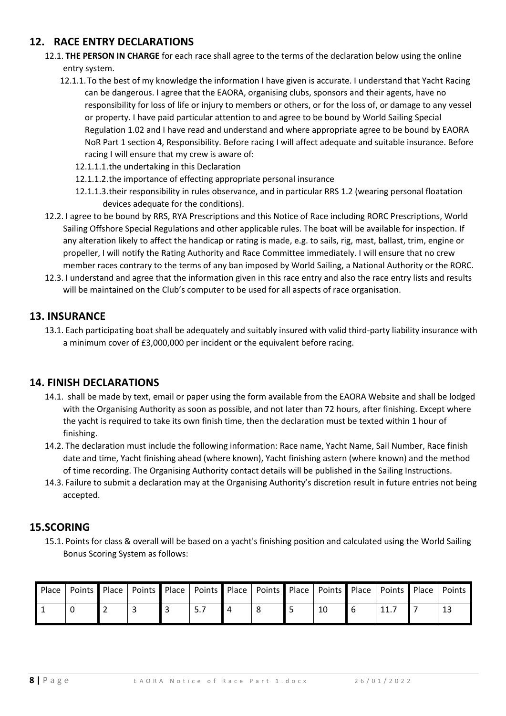## **12. RACE ENTRY DECLARATIONS**

- 12.1. **THE PERSON IN CHARGE** for each race shall agree to the terms of the declaration below using the online entry system.
	- 12.1.1. To the best of my knowledge the information I have given is accurate. I understand that Yacht Racing can be dangerous. I agree that the EAORA, organising clubs, sponsors and their agents, have no responsibility for loss of life or injury to members or others, or for the loss of, or damage to any vessel or property. I have paid particular attention to and agree to be bound by World Sailing Special Regulation 1.02 and I have read and understand and where appropriate agree to be bound by EAORA NoR Part 1 section 4, Responsibility. Before racing I will affect adequate and suitable insurance. Before racing I will ensure that my crew is aware of:
		- 12.1.1.1.the undertaking in this Declaration
		- 12.1.1.2.the importance of effecting appropriate personal insurance
		- 12.1.1.3.their responsibility in rules observance, and in particular RRS 1.2 (wearing personal floatation devices adequate for the conditions).
- 12.2. I agree to be bound by RRS, RYA Prescriptions and this Notice of Race including RORC Prescriptions, World Sailing Offshore Special Regulations and other applicable rules. The boat will be available for inspection. If any alteration likely to affect the handicap or rating is made, e.g. to sails, rig, mast, ballast, trim, engine or propeller, I will notify the Rating Authority and Race Committee immediately. I will ensure that no crew member races contrary to the terms of any ban imposed by World Sailing, a National Authority or the RORC.
- 12.3. I understand and agree that the information given in this race entry and also the race entry lists and results will be maintained on the Club's computer to be used for all aspects of race organisation.

### **13. INSURANCE**

13.1. Each participating boat shall be adequately and suitably insured with valid third-party liability insurance with a minimum cover of £3,000,000 per incident or the equivalent before racing.

### **14. FINISH DECLARATIONS**

- 14.1. shall be made by text, email or paper using the form available from the EAORA Website and shall be lodged with the Organising Authority as soon as possible, and not later than 72 hours, after finishing. Except where the yacht is required to take its own finish time, then the declaration must be texted within 1 hour of finishing.
- 14.2. The declaration must include the following information: Race name, Yacht Name, Sail Number, Race finish date and time, Yacht finishing ahead (where known), Yacht finishing astern (where known) and the method of time recording. The Organising Authority contact details will be published in the Sailing Instructions.
- 14.3. Failure to submit a declaration may at the Organising Authority's discretion result in future entries not being accepted.

### **15.SCORING**

15.1. Points for class & overall will be based on a yacht's finishing position and calculated using the World Sailing Bonus Scoring System as follows:

|  | Place   Points   Place   Points   Place   Points   Place   Points   Place   Points   Place   Points   Place   Points |  |  |    |      |  |
|--|----------------------------------------------------------------------------------------------------------------------|--|--|----|------|--|
|  |                                                                                                                      |  |  | 10 | 11.7 |  |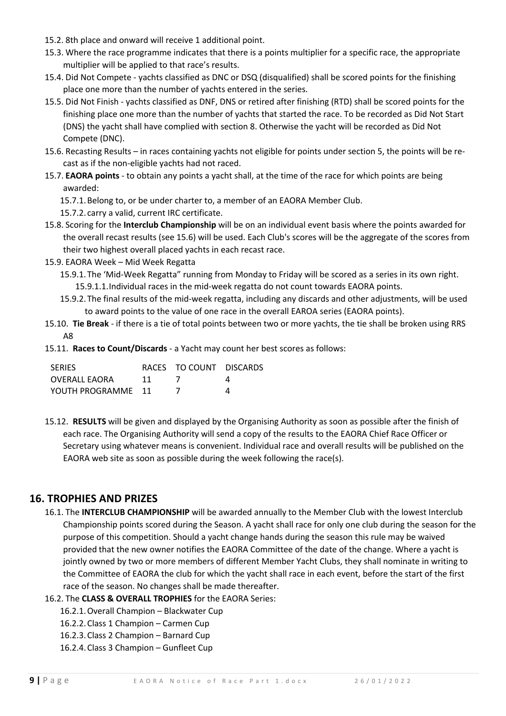- 15.2. 8th place and onward will receive 1 additional point.
- 15.3. Where the race programme indicates that there is a points multiplier for a specific race, the appropriate multiplier will be applied to that race's results.
- 15.4. Did Not Compete yachts classified as DNC or DSQ (disqualified) shall be scored points for the finishing place one more than the number of yachts entered in the series.
- 15.5. Did Not Finish yachts classified as DNF, DNS or retired after finishing (RTD) shall be scored points for the finishing place one more than the number of yachts that started the race. To be recorded as Did Not Start (DNS) the yacht shall have complied with section 8. Otherwise the yacht will be recorded as Did Not Compete (DNC).
- 15.6. Recasting Results in races containing yachts not eligible for points under section 5, the points will be recast as if the non-eligible yachts had not raced.
- 15.7. **EAORA points** to obtain any points a yacht shall, at the time of the race for which points are being awarded:
	- 15.7.1.Belong to, or be under charter to, a member of an EAORA Member Club.
	- 15.7.2. carry a valid, current IRC certificate.
- 15.8. Scoring for the **Interclub Championship** will be on an individual event basis where the points awarded for the overall recast results (see 15.6) will be used. Each Club's scores will be the aggregate of the scores from their two highest overall placed yachts in each recast race.
- 15.9. EAORA Week Mid Week Regatta
	- 15.9.1. The 'Mid-Week Regatta" running from Monday to Friday will be scored as a series in its own right. 15.9.1.1.Individual races in the mid-week regatta do not count towards EAORA points.
	- 15.9.2. The final results of the mid-week regatta, including any discards and other adjustments, will be used to award points to the value of one race in the overall EAROA series (EAORA points).
- 15.10. **Tie Break** if there is a tie of total points between two or more yachts, the tie shall be broken using RRS A8
- 15.11. **Races to Count/Discards** a Yacht may count her best scores as follows:

| <b>SERIES</b>        |    | RACES TO COUNT DISCARDS |  |
|----------------------|----|-------------------------|--|
| <b>OVERALL EAORA</b> | 11 |                         |  |
| YOUTH PROGRAMME 11   |    |                         |  |

15.12. **RESULTS** will be given and displayed by the Organising Authority as soon as possible after the finish of each race. The Organising Authority will send a copy of the results to the EAORA Chief Race Officer or Secretary using whatever means is convenient. Individual race and overall results will be published on the EAORA web site as soon as possible during the week following the race(s).

#### **16. TROPHIES AND PRIZES**

- 16.1. The **INTERCLUB CHAMPIONSHIP** will be awarded annually to the Member Club with the lowest Interclub Championship points scored during the Season. A yacht shall race for only one club during the season for the purpose of this competition. Should a yacht change hands during the season this rule may be waived provided that the new owner notifies the EAORA Committee of the date of the change. Where a yacht is jointly owned by two or more members of different Member Yacht Clubs, they shall nominate in writing to the Committee of EAORA the club for which the yacht shall race in each event, before the start of the first race of the season. No changes shall be made thereafter.
- 16.2. The **CLASS & OVERALL TROPHIES** for the EAORA Series:
	- 16.2.1.Overall Champion Blackwater Cup
	- 16.2.2.Class 1 Champion Carmen Cup
	- 16.2.3.Class 2 Champion Barnard Cup
	- 16.2.4.Class 3 Champion Gunfleet Cup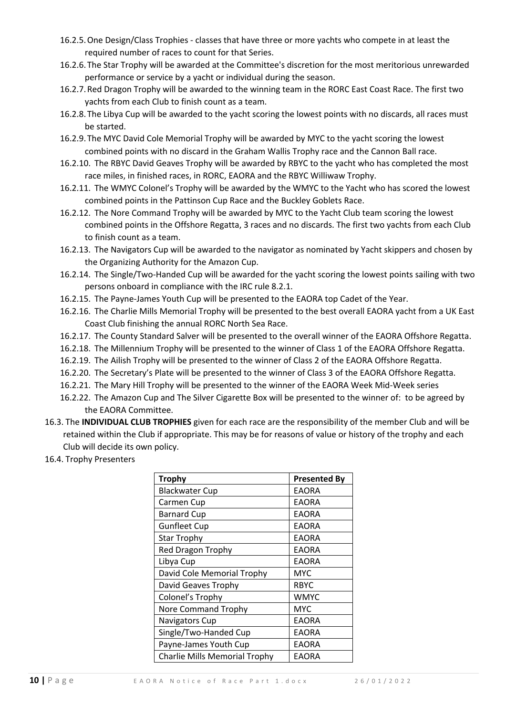- 16.2.5.One Design/Class Trophies classes that have three or more yachts who compete in at least the required number of races to count for that Series.
- 16.2.6. The Star Trophy will be awarded at the Committee's discretion for the most meritorious unrewarded performance or service by a yacht or individual during the season.
- 16.2.7.Red Dragon Trophy will be awarded to the winning team in the RORC East Coast Race. The first two yachts from each Club to finish count as a team.
- 16.2.8. The Libya Cup will be awarded to the yacht scoring the lowest points with no discards, all races must be started.
- 16.2.9. The MYC David Cole Memorial Trophy will be awarded by MYC to the yacht scoring the lowest combined points with no discard in the Graham Wallis Trophy race and the Cannon Ball race.
- 16.2.10. The RBYC David Geaves Trophy will be awarded by RBYC to the yacht who has completed the most race miles, in finished races, in RORC, EAORA and the RBYC Williwaw Trophy.
- 16.2.11. The WMYC Colonel's Trophy will be awarded by the WMYC to the Yacht who has scored the lowest combined points in the Pattinson Cup Race and the Buckley Goblets Race.
- 16.2.12. The Nore Command Trophy will be awarded by MYC to the Yacht Club team scoring the lowest combined points in the Offshore Regatta, 3 races and no discards. The first two yachts from each Club to finish count as a team.
- 16.2.13. The Navigators Cup will be awarded to the navigator as nominated by Yacht skippers and chosen by the Organizing Authority for the Amazon Cup.
- 16.2.14. The Single/Two-Handed Cup will be awarded for the yacht scoring the lowest points sailing with two persons onboard in compliance with the IRC rule 8.2.1.
- 16.2.15. The Payne-James Youth Cup will be presented to the EAORA top Cadet of the Year.
- 16.2.16. The Charlie Mills Memorial Trophy will be presented to the best overall EAORA yacht from a UK East Coast Club finishing the annual RORC North Sea Race.
- 16.2.17. The County Standard Salver will be presented to the overall winner of the EAORA Offshore Regatta.
- 16.2.18. The Millennium Trophy will be presented to the winner of Class 1 of the EAORA Offshore Regatta.
- 16.2.19. The Ailish Trophy will be presented to the winner of Class 2 of the EAORA Offshore Regatta.
- 16.2.20. The Secretary's Plate will be presented to the winner of Class 3 of the EAORA Offshore Regatta.
- 16.2.21. The Mary Hill Trophy will be presented to the winner of the EAORA Week Mid-Week series
- 16.2.22. The Amazon Cup and The Silver Cigarette Box will be presented to the winner of: to be agreed by the EAORA Committee.
- 16.3. The **INDIVIDUAL CLUB TROPHIES** given for each race are the responsibility of the member Club and will be retained within the Club if appropriate. This may be for reasons of value or history of the trophy and each Club will decide its own policy.
- 16.4. Trophy Presenters

| <b>Trophy</b>                 | <b>Presented By</b> |
|-------------------------------|---------------------|
| <b>Blackwater Cup</b>         | <b>EAORA</b>        |
| Carmen Cup                    | <b>EAORA</b>        |
| <b>Barnard Cup</b>            | <b>EAORA</b>        |
| <b>Gunfleet Cup</b>           | <b>EAORA</b>        |
| <b>Star Trophy</b>            | <b>EAORA</b>        |
| <b>Red Dragon Trophy</b>      | <b>EAORA</b>        |
| Libya Cup                     | <b>EAORA</b>        |
| David Cole Memorial Trophy    | <b>MYC</b>          |
| David Geaves Trophy           | <b>RBYC</b>         |
| Colonel's Trophy              | WMYC                |
| Nore Command Trophy           | <b>MYC</b>          |
| Navigators Cup                | <b>EAORA</b>        |
| Single/Two-Handed Cup         | <b>EAORA</b>        |
| Payne-James Youth Cup         | <b>EAORA</b>        |
| Charlie Mills Memorial Trophy | <b>EAORA</b>        |